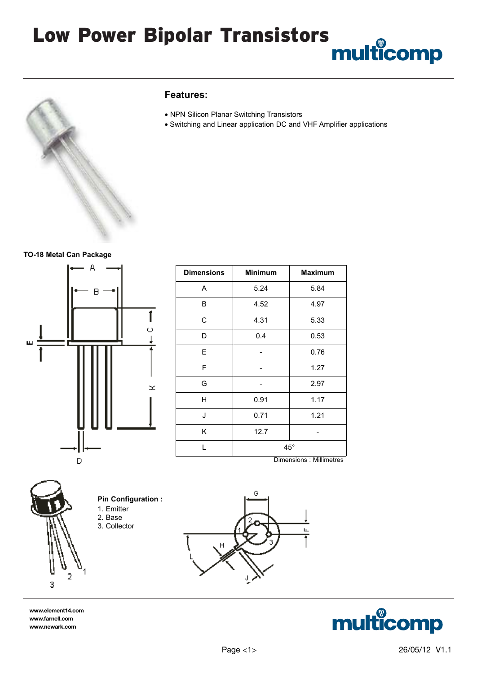# Low Power Bipolar Transistors



#### **Features:**

- NPN Silicon Planar Switching Transistors
- Switching and Linear application DC and VHF Amplifier applications

#### **TO-18 Metal Can Package**



| <b>Dimensions</b> | <b>Minimum</b> | <b>Maximum</b> |  |
|-------------------|----------------|----------------|--|
| Α                 | 5.24           | 5.84           |  |
| B                 | 4.52           | 4.97           |  |
| C                 | 4.31           | 5.33           |  |
| D                 | 0.4            | 0.53           |  |
| Ε                 |                | 0.76           |  |
| F                 |                | 1.27           |  |
| G                 |                | 2.97           |  |
| Η                 | 0.91           | 1.17           |  |
| J                 | 0.71           | 1.21           |  |
| Κ                 | 12.7           |                |  |
| L                 | $45^{\circ}$   |                |  |





**www.element14.com www.farnell.com www.newark.com**



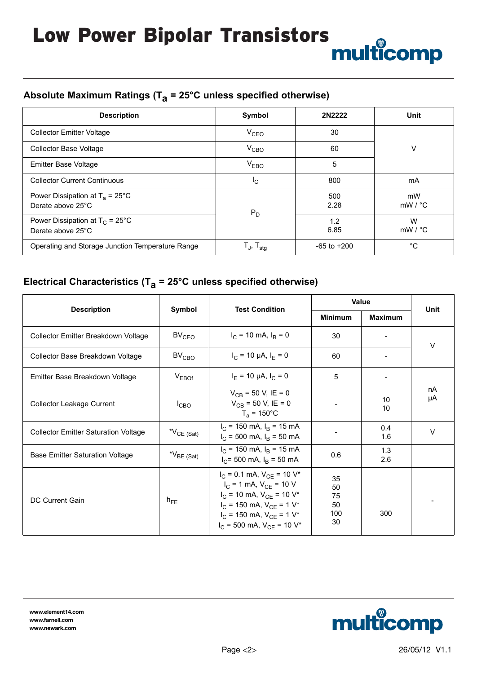# **Absolute Maximum Ratings (Ta = 25°C unless specified otherwise)**

| <b>Description</b>                                             | Symbol                                                 | 2N2222          | <b>Unit</b>              |
|----------------------------------------------------------------|--------------------------------------------------------|-----------------|--------------------------|
| <b>Collector Emitter Voltage</b>                               | $V_{CEO}$                                              | 30              |                          |
| Collector Base Voltage                                         | $V_{CBO}$                                              | 60              | v                        |
| <b>Emitter Base Voltage</b>                                    | V <sub>EBO</sub>                                       | 5               |                          |
| <b>Collector Current Continuous</b>                            | Ιc                                                     | 800             | mA                       |
| Power Dissipation at $T_a = 25^{\circ}$ C<br>Derate above 25°C | $P_D$                                                  | 500<br>2.28     | mW<br>$mW / {}^{\circ}C$ |
| Power Dissipation at $T_C = 25^{\circ}C$<br>Derate above 25°C  |                                                        | 1.2<br>6.85     | W<br>$mW / {}^{\circ}C$  |
| Operating and Storage Junction Temperature Range               | $\mathsf{T}_{\mathsf{J}},\, \mathsf{T}_{\mathsf{stg}}$ | $-65$ to $+200$ | °C                       |

## **Electrical Characteristics (Ta = 25°C unless specified otherwise)**

| <b>Description</b>                          | Symbol            | <b>Test Condition</b>                                                                                                                                                                                                                                 | <b>Value</b>                      |                | <b>Unit</b> |  |
|---------------------------------------------|-------------------|-------------------------------------------------------------------------------------------------------------------------------------------------------------------------------------------------------------------------------------------------------|-----------------------------------|----------------|-------------|--|
|                                             |                   |                                                                                                                                                                                                                                                       | <b>Minimum</b>                    | <b>Maximum</b> |             |  |
| Collector Emitter Breakdown Voltage         | BV <sub>CEO</sub> | $I_C$ = 10 mA, $I_B$ = 0                                                                                                                                                                                                                              | 30                                |                | $\vee$      |  |
| Collector Base Breakdown Voltage            | BV <sub>CBO</sub> | $I_C = 10 \mu A$ , $I_E = 0$                                                                                                                                                                                                                          | 60                                |                |             |  |
| Emitter Base Breakdown Voltage              | $V_{EBOf}$        | $I_F$ = 10 µA, $I_C$ = 0                                                                                                                                                                                                                              | 5                                 |                |             |  |
| <b>Collector Leakage Current</b>            | $I_{CBO}$         | $V_{CB}$ = 50 V, IE = 0<br>$V_{CB} = 50$ V, IE = 0<br>$T_a = 150^{\circ}C$                                                                                                                                                                            |                                   | 10<br>10       | nA<br>μA    |  |
| <b>Collector Emitter Saturation Voltage</b> | $N_{CE (Sat)}$    | $I_C$ = 150 mA, $I_B$ = 15 mA<br>$I_C$ = 500 mA, $I_B$ = 50 mA                                                                                                                                                                                        |                                   | 0.4<br>1.6     | $\vee$      |  |
| <b>Base Emitter Saturation Voltage</b>      | $N_{BE(Sat)}$     | $I_C$ = 150 mA, $I_B$ = 15 mA<br>$I_C$ = 500 mA, $I_B$ = 50 mA                                                                                                                                                                                        | 0.6                               | 1.3<br>2.6     |             |  |
| DC Current Gain                             | $n_{FE}$          | $I_C = 0.1$ mA, $V_{CE} = 10$ V <sup>*</sup><br>$I_C = 1$ mA, $V_{CF} = 10$ V<br>$I_C$ = 10 mA, $V_{CE}$ = 10 V <sup>*</sup><br>$I_C$ = 150 mA, $V_{CE}$ = 1 V <sup>*</sup><br>$I_C$ = 150 mA, $V_{CF}$ = 1 $V^*$<br>$I_C$ = 500 mA, $V_{CE}$ = 10 V* | 35<br>50<br>75<br>50<br>100<br>30 | 300            |             |  |